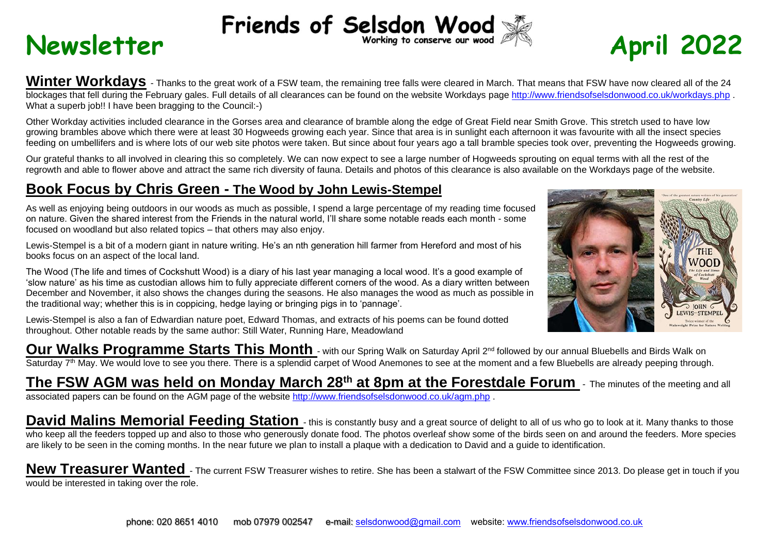# **Newsletter** Friends of Selsdon Wood  $\frac{2022}{\pi}$

Winter Workdavs - Thanks to the great work of a FSW team, the remaining tree falls were cleared in March. That means that FSW have now cleared all of the 24 blockages that fell during the February gales. Full details of all clearances can be found on the website Workdays page<http://www.friendsofselsdonwood.co.uk/workdays.php> What a superb job!! I have been bragging to the Council:-)

Other Workday activities included clearance in the Gorses area and clearance of bramble along the edge of Great Field near Smith Grove. This stretch used to have low growing brambles above which there were at least 30 Hogweeds growing each year. Since that area is in sunlight each afternoon it was favourite with all the insect species feeding on umbellifers and is where lots of our web site photos were taken. But since about four years ago a tall bramble species took over, preventing the Hogweeds growing.

Our grateful thanks to all involved in clearing this so completely. We can now expect to see a large number of Hogweeds sprouting on equal terms with all the rest of the regrowth and able to flower above and attract the same rich diversity of fauna. Details and photos of this clearance is also available on the Workdays page of the website.

## **Book Focus by Chris Green - The Wood by John Lewis-Stempel**

As well as enjoying being outdoors in our woods as much as possible, I spend a large percentage of my reading time focused on nature. Given the shared interest from the Friends in the natural world, I'll share some notable reads each month - some focused on woodland but also related topics – that others may also enjoy.

Lewis-Stempel is a bit of a modern giant in nature writing. He's an nth generation hill farmer from Hereford and most of his books focus on an aspect of the local land.

The Wood (The life and times of Cockshutt Wood) is a diary of his last year managing a local wood. It's a good example of 'slow nature' as his time as custodian allows him to fully appreciate different corners of the wood. As a diary written between December and November, it also shows the changes during the seasons. He also manages the wood as much as possible in the traditional way; whether this is in coppicing, hedge laying or bringing pigs in to 'pannage'.

Lewis-Stempel is also a fan of Edwardian nature poet, Edward Thomas, and extracts of his poems can be found dotted throughout. Other notable reads by the same author: Still Water, Running Hare, Meadowland

Our Walks Programme Starts This Month - with our Spring Walk on Saturday April 2<sup>nd</sup> followed by our annual Bluebells and Birds Walk on Saturday 7<sup>th</sup> May. We would love to see you there. There is a splendid carpet of Wood Anemones to see at the moment and a few Bluebells are already peeping through.

## **The FSW AGM was held on Monday March 28th at 8pm at the Forestdale Forum** - The minutes of the meeting and all associated papers can be found on the AGM page of the website <http://www.friendsofselsdonwood.co.uk/agm.php> .

David Malins Memorial Feeding Station - this is constantly busy and a great source of delight to all of us who go to look at it. Many thanks to those who keep all the feeders topped up and also to those who generously donate food. The photos overleaf show some of the birds seen on and around the feeders. More species are likely to be seen in the coming months. In the near future we plan to install a plaque with a dedication to David and a guide to identification.

New Treasurer Wanted - The current FSW Treasurer wishes to retire. She has been a stalwart of the FSW Committee since 2013. Do please get in touch if you would be interested in taking over the role.